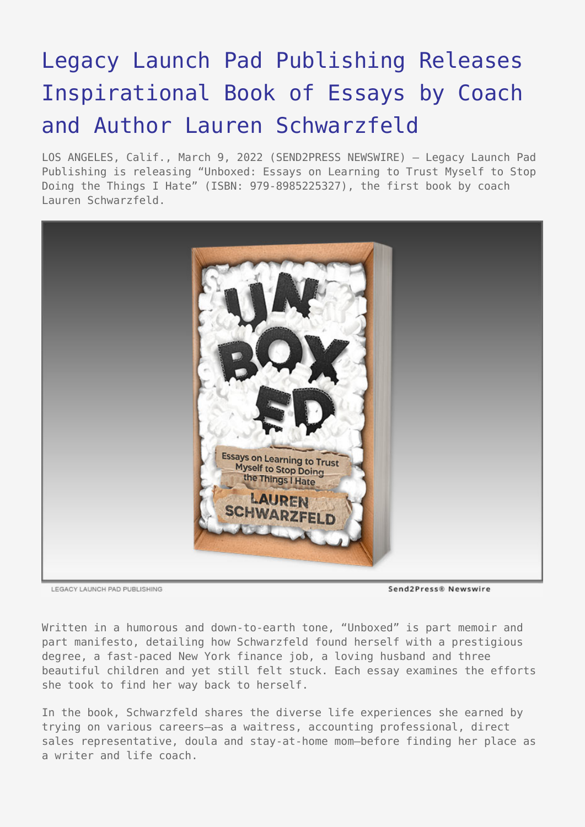## [Legacy Launch Pad Publishing Releases](https://www.send2press.com/wire/legacy-launch-pad-publishing-releases-inspirational-book-of-essays-by-coach-and-author-lauren-schwarzfeld/) [Inspirational Book of Essays by Coach](https://www.send2press.com/wire/legacy-launch-pad-publishing-releases-inspirational-book-of-essays-by-coach-and-author-lauren-schwarzfeld/) [and Author Lauren Schwarzfeld](https://www.send2press.com/wire/legacy-launch-pad-publishing-releases-inspirational-book-of-essays-by-coach-and-author-lauren-schwarzfeld/)

LOS ANGELES, Calif., March 9, 2022 (SEND2PRESS NEWSWIRE) — Legacy Launch Pad Publishing is releasing "Unboxed: Essays on Learning to Trust Myself to Stop Doing the Things I Hate" (ISBN: 979-8985225327), the first book by coach Lauren Schwarzfeld.



LEGACY LAUNCH PAD PUBLISHING

Send2Press® Newswire

Written in a humorous and down-to-earth tone, "Unboxed" is part memoir and part manifesto, detailing how Schwarzfeld found herself with a prestigious degree, a fast-paced New York finance job, a loving husband and three beautiful children and yet still felt stuck. Each essay examines the efforts she took to find her way back to herself.

In the book, Schwarzfeld shares the diverse life experiences she earned by trying on various careers—as a waitress, accounting professional, direct sales representative, doula and stay-at-home mom—before finding her place as a writer and life coach.